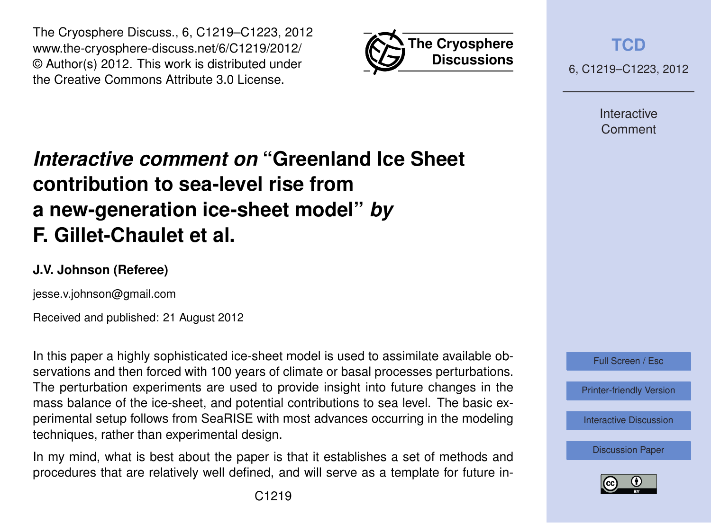



**[TCD](http://www.the-cryosphere-discuss.net)**

6, C1219–C1223, 2012

Interactive Comment

## *Interactive comment on* **"Greenland Ice Sheet contribution to sea-level rise from a new-generation ice-sheet model"** *by* **F. Gillet-Chaulet et al.**

## **J.V. Johnson (Referee)**

jesse.v.johnson@gmail.com

Received and published: 21 August 2012

In this paper a highly sophisticated ice-sheet model is used to assimilate available observations and then forced with 100 years of climate or basal processes perturbations. The perturbation experiments are used to provide insight into future changes in the mass balance of the ice-sheet, and potential contributions to sea level. The basic experimental setup follows from SeaRISE with most advances occurring in the modeling techniques, rather than experimental design.

In my mind, what is best about the paper is that it establishes a set of methods and procedures that are relatively well defined, and will serve as a template for future in-



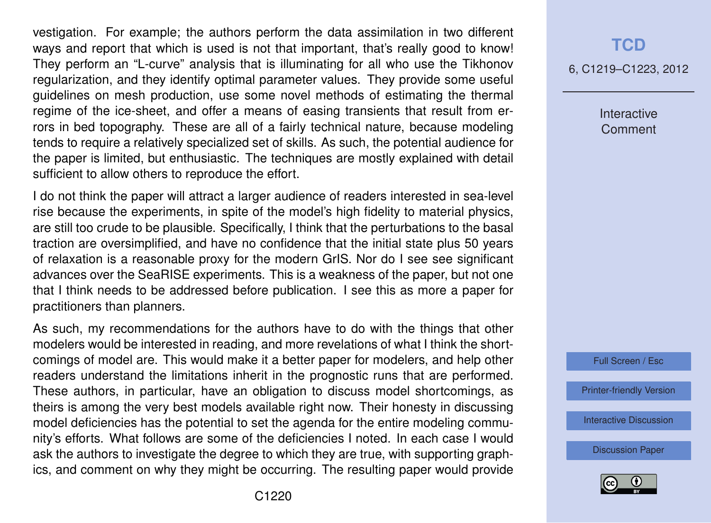vestigation. For example; the authors perform the data assimilation in two different ways and report that which is used is not that important, that's really good to know! They perform an "L-curve" analysis that is illuminating for all who use the Tikhonov regularization, and they identify optimal parameter values. They provide some useful guidelines on mesh production, use some novel methods of estimating the thermal regime of the ice-sheet, and offer a means of easing transients that result from errors in bed topography. These are all of a fairly technical nature, because modeling tends to require a relatively specialized set of skills. As such, the potential audience for the paper is limited, but enthusiastic. The techniques are mostly explained with detail sufficient to allow others to reproduce the effort.

I do not think the paper will attract a larger audience of readers interested in sea-level rise because the experiments, in spite of the model's high fidelity to material physics, are still too crude to be plausible. Specifically, I think that the perturbations to the basal traction are oversimplified, and have no confidence that the initial state plus 50 years of relaxation is a reasonable proxy for the modern GrIS. Nor do I see see significant advances over the SeaRISE experiments. This is a weakness of the paper, but not one that I think needs to be addressed before publication. I see this as more a paper for practitioners than planners.

As such, my recommendations for the authors have to do with the things that other modelers would be interested in reading, and more revelations of what I think the shortcomings of model are. This would make it a better paper for modelers, and help other readers understand the limitations inherit in the prognostic runs that are performed. These authors, in particular, have an obligation to discuss model shortcomings, as theirs is among the very best models available right now. Their honesty in discussing model deficiencies has the potential to set the agenda for the entire modeling community's efforts. What follows are some of the deficiencies I noted. In each case I would ask the authors to investigate the degree to which they are true, with supporting graphics, and comment on why they might be occurring. The resulting paper would provide

## **[TCD](http://www.the-cryosphere-discuss.net)**

6, C1219–C1223, 2012

Interactive Comment



[Printer-friendly Version](http://www.the-cryosphere-discuss.net/6/C1219/2012/tcd-6-C1219-2012-print.pdf)

[Interactive Discussion](http://www.the-cryosphere-discuss.net/6/2789/2012/tcd-6-2789-2012-discussion.html)

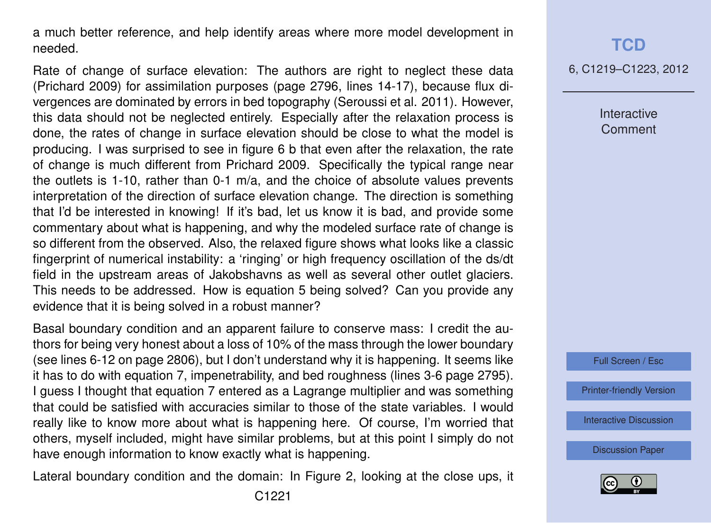a much better reference, and help identify areas where more model development in needed.

Rate of change of surface elevation: The authors are right to neglect these data (Prichard 2009) for assimilation purposes (page 2796, lines 14-17), because flux divergences are dominated by errors in bed topography (Seroussi et al. 2011). However, this data should not be neglected entirely. Especially after the relaxation process is done, the rates of change in surface elevation should be close to what the model is producing. I was surprised to see in figure 6 b that even after the relaxation, the rate of change is much different from Prichard 2009. Specifically the typical range near the outlets is 1-10, rather than 0-1 m/a, and the choice of absolute values prevents interpretation of the direction of surface elevation change. The direction is something that I'd be interested in knowing! If it's bad, let us know it is bad, and provide some commentary about what is happening, and why the modeled surface rate of change is so different from the observed. Also, the relaxed figure shows what looks like a classic fingerprint of numerical instability: a 'ringing' or high frequency oscillation of the ds/dt field in the upstream areas of Jakobshavns as well as several other outlet glaciers. This needs to be addressed. How is equation 5 being solved? Can you provide any evidence that it is being solved in a robust manner?

Basal boundary condition and an apparent failure to conserve mass: I credit the authors for being very honest about a loss of 10% of the mass through the lower boundary (see lines 6-12 on page 2806), but I don't understand why it is happening. It seems like it has to do with equation 7, impenetrability, and bed roughness (lines 3-6 page 2795). I guess I thought that equation 7 entered as a Lagrange multiplier and was something that could be satisfied with accuracies similar to those of the state variables. I would really like to know more about what is happening here. Of course, I'm worried that others, myself included, might have similar problems, but at this point I simply do not have enough information to know exactly what is happening.

Lateral boundary condition and the domain: In Figure 2, looking at the close ups, it

## **[TCD](http://www.the-cryosphere-discuss.net)**

6, C1219–C1223, 2012

Interactive **Comment** 



[Printer-friendly Version](http://www.the-cryosphere-discuss.net/6/C1219/2012/tcd-6-C1219-2012-print.pdf)

[Interactive Discussion](http://www.the-cryosphere-discuss.net/6/2789/2012/tcd-6-2789-2012-discussion.html)

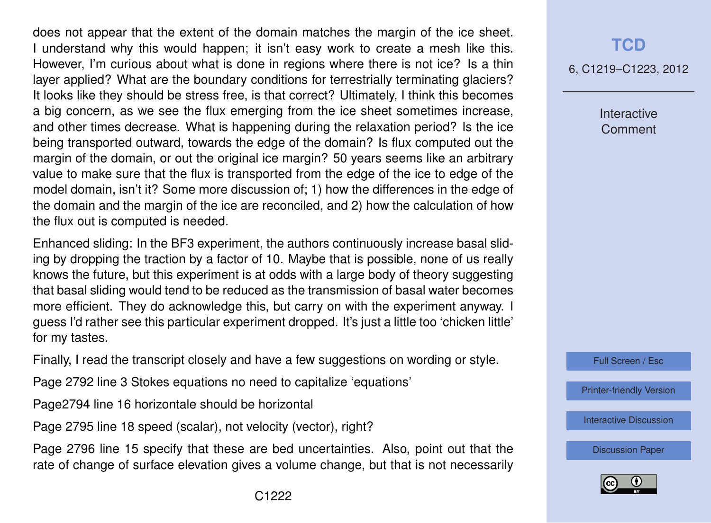does not appear that the extent of the domain matches the margin of the ice sheet. I understand why this would happen; it isn't easy work to create a mesh like this. However, I'm curious about what is done in regions where there is not ice? Is a thin layer applied? What are the boundary conditions for terrestrially terminating glaciers? It looks like they should be stress free, is that correct? Ultimately, I think this becomes a big concern, as we see the flux emerging from the ice sheet sometimes increase, and other times decrease. What is happening during the relaxation period? Is the ice being transported outward, towards the edge of the domain? Is flux computed out the margin of the domain, or out the original ice margin? 50 years seems like an arbitrary value to make sure that the flux is transported from the edge of the ice to edge of the model domain, isn't it? Some more discussion of; 1) how the differences in the edge of the domain and the margin of the ice are reconciled, and 2) how the calculation of how the flux out is computed is needed.

Enhanced sliding: In the BF3 experiment, the authors continuously increase basal sliding by dropping the traction by a factor of 10. Maybe that is possible, none of us really knows the future, but this experiment is at odds with a large body of theory suggesting that basal sliding would tend to be reduced as the transmission of basal water becomes more efficient. They do acknowledge this, but carry on with the experiment anyway. I guess I'd rather see this particular experiment dropped. It's just a little too 'chicken little' for my tastes.

Finally, I read the transcript closely and have a few suggestions on wording or style.

Page 2792 line 3 Stokes equations no need to capitalize 'equations'

Page2794 line 16 horizontale should be horizontal

Page 2795 line 18 speed (scalar), not velocity (vector), right?

Page 2796 line 15 specify that these are bed uncertainties. Also, point out that the rate of change of surface elevation gives a volume change, but that is not necessarily 6, C1219–C1223, 2012

Interactive Comment

Full Screen / Esc

[Printer-friendly Version](http://www.the-cryosphere-discuss.net/6/C1219/2012/tcd-6-C1219-2012-print.pdf)

[Interactive Discussion](http://www.the-cryosphere-discuss.net/6/2789/2012/tcd-6-2789-2012-discussion.html)